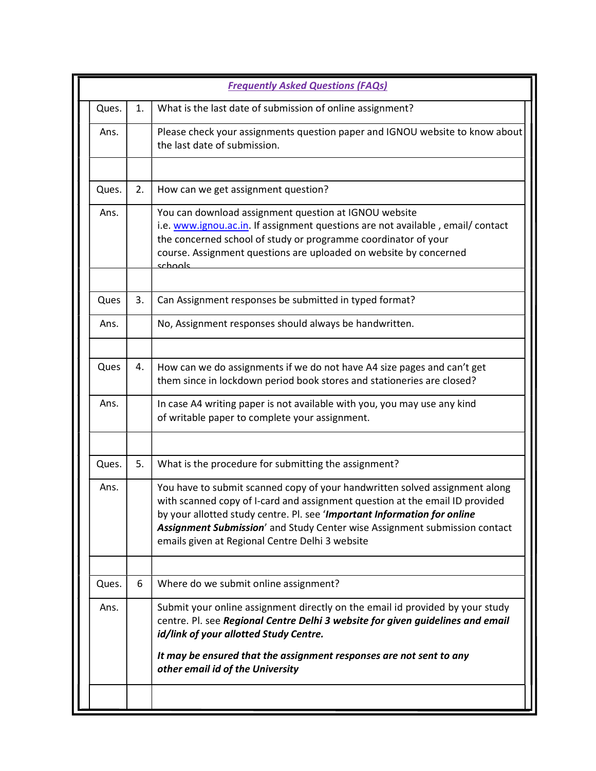|       |    | <b>Frequently Asked Questions (FAQs)</b>                                                                                                                                                                                                                                                                                                                                 |
|-------|----|--------------------------------------------------------------------------------------------------------------------------------------------------------------------------------------------------------------------------------------------------------------------------------------------------------------------------------------------------------------------------|
| Ques. | 1. | What is the last date of submission of online assignment?                                                                                                                                                                                                                                                                                                                |
| Ans.  |    | Please check your assignments question paper and IGNOU website to know about<br>the last date of submission.                                                                                                                                                                                                                                                             |
| Ques. | 2. | How can we get assignment question?                                                                                                                                                                                                                                                                                                                                      |
| Ans.  |    | You can download assignment question at IGNOU website<br>i.e. www.ignou.ac.in. If assignment questions are not available, email/contact<br>the concerned school of study or programme coordinator of your<br>course. Assignment questions are uploaded on website by concerned<br>schools                                                                                |
| Ques  | 3. | Can Assignment responses be submitted in typed format?                                                                                                                                                                                                                                                                                                                   |
| Ans.  |    | No, Assignment responses should always be handwritten.                                                                                                                                                                                                                                                                                                                   |
| Ques  | 4. | How can we do assignments if we do not have A4 size pages and can't get<br>them since in lockdown period book stores and stationeries are closed?                                                                                                                                                                                                                        |
| Ans.  |    | In case A4 writing paper is not available with you, you may use any kind<br>of writable paper to complete your assignment.                                                                                                                                                                                                                                               |
| Ques. | 5. | What is the procedure for submitting the assignment?                                                                                                                                                                                                                                                                                                                     |
| Ans.  |    | You have to submit scanned copy of your handwritten solved assignment along<br>with scanned copy of I-card and assignment question at the email ID provided<br>by your allotted study centre. Pl. see 'Important Information for online<br>Assignment Submission' and Study Center wise Assignment submission contact<br>emails given at Regional Centre Delhi 3 website |
| Ques. | 6  | Where do we submit online assignment?                                                                                                                                                                                                                                                                                                                                    |
| Ans.  |    | Submit your online assignment directly on the email id provided by your study<br>centre. Pl. see Regional Centre Delhi 3 website for given guidelines and email<br>id/link of your allotted Study Centre.                                                                                                                                                                |
|       |    | It may be ensured that the assignment responses are not sent to any<br>other email id of the University                                                                                                                                                                                                                                                                  |